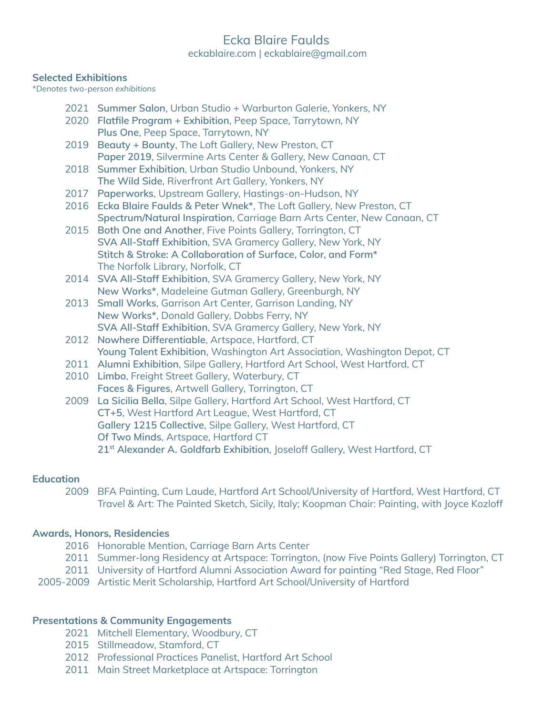# Ecka Blaire Faulds eckablaire.com | eckablaire@gmail.com

#### **Selected Exhibitions**

\**Denotes two-person exhibitions*

- 2021 **Summer Salon**, Urban Studio + Warburton Galerie, Yonkers, NY
- 2020 **Flatfile Program + Exhibition**, Peep Space, Tarrytown, NY **Plus One**, Peep Space, Tarrytown, NY
- 2019 **Beauty + Bounty**, The Loft Gallery, New Preston, CT **Paper 2019**, Silvermine Arts Center & Gallery, New Canaan, CT
- 2018 **Summer Exhibition**, Urban Studio Unbound, Yonkers, NY **The Wild Side**, Riverfront Art Gallery, Yonkers, NY
- 2017 **Paperworks**, Upstream Gallery, Hastings-on-Hudson, NY
- 2016 **Ecka Blaire Faulds & Peter Wnek\***, The Loft Gallery, New Preston, CT **Spectrum/Natural Inspiration**, Carriage Barn Arts Center, New Canaan, CT
- 2015 **Both One and Another**, Five Points Gallery, Torrington, CT **SVA All-Staff Exhibition**, SVA Gramercy Gallery, New York, NY **Stitch & Stroke: A Collaboration of Surface, Color, and Form\*** The Norfolk Library, Norfolk, CT
- 2014 **SVA All-Staff Exhibition**, SVA Gramercy Gallery, New York, NY **New Works\***, Madeleine Gutman Gallery, Greenburgh, NY
- 2013 **Small Works**, Garrison Art Center, Garrison Landing, NY **New Works\***, Donald Gallery, Dobbs Ferry, NY **SVA All-Staff Exhibition**, SVA Gramercy Gallery, New York, NY
- 2012 **Nowhere Differentiable**, Artspace, Hartford, CT **Young Talent Exhibition**, Washington Art Association, Washington Depot, CT
- 2011 **Alumni Exhibition**, Silpe Gallery, Hartford Art School, West Hartford, CT
- 2010 **Limbo**, Freight Street Gallery, Waterbury, CT **Faces & Figures**, Artwell Gallery, Torrington, CT
- 2009 **La Sicilia Bella**, Silpe Gallery, Hartford Art School, West Hartford, CT **CT+5**, West Hartford Art League, West Hartford, CT **Gallery 1215 Collective**, Silpe Gallery, West Hartford, CT **Of Two Minds**, Artspace, Hartford CT **21 st Alexander A. Goldfarb Exhibition**, Joseloff Gallery, West Hartford, CT

#### **Education**

2009 BFA Painting, Cum Laude, Hartford Art School/University of Hartford, West Hartford, CT Travel & Art: The Painted Sketch, Sicily, Italy; Koopman Chair: Painting, with Joyce Kozloff

## **Awards, Honors, Residencies**

- 2016 Honorable Mention, Carriage Barn Arts Center
- 2011 Summer-long Residency at Artspace: Torrington, (now Five Points Gallery) Torrington, CT
- 2011 University of Hartford Alumni Association Award for painting "Red Stage, Red Floor"
- 2005-2009 Artistic Merit Scholarship, Hartford Art School/University of Hartford

## **Presentations & Community Engagements**

- 2021 Mitchell Elementary, Woodbury, CT
- 2015 Stillmeadow, Stamford, CT
- 2012 Professional Practices Panelist, Hartford Art School
- 2011 Main Street Marketplace at Artspace: Torrington